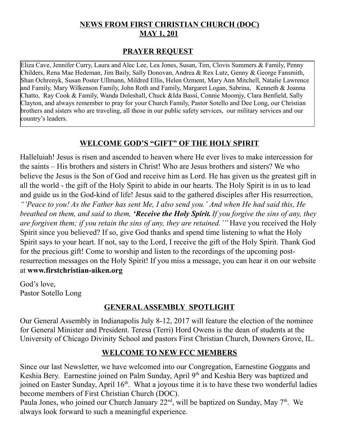## **NEWS FROM FIRST CHRISTIAN CHURCH (DOC) MAY 1, 201**

### **PRAYER REQUEST**

Eliza Cave, Jennifer Curry, Laura and Alec Lee, Lea Jones, Susan, Tim, Clovis Summers & Family, Penny Childers, Rena Mae Hedeman, Jim Baily, Sally Donovan, Andrea & Rex Lutz, Genny & George Fansmith, Shan Ochrenyk, Susan Poster Ullmann, Mildred Ellis, Helen Ozment, Mary Ann Mitchell, Natalie Lawrence and Family, Mary Wilkenson Family, John Roth and Family, Margaret Logan, Sabrina, Kenneth & Joanna Chatto, Ray Cook & Family, Wanda Doleshall, Chuck &Ida Bassi, Connie Moomjy, Clara Benfield, Sally Clayton, and always remember to pray for your Church Family, Pastor Sotello and Dee Long, our Christian brothers and sisters who are traveling, all those in our public safety services, our military services and our country's leaders.

### **WELCOME GOD'S "GIFT" OF THE HOLY SPIRIT**

Halleluiah! Jesus is risen and ascended to heaven where He ever lives to make intercession for the saints – His brothers and sisters in Christ! Who are Jesus brothers and sisters? We who believe the Jesus is the Son of God and receive him as Lord. He has given us the greatest gift in all the world - the gift of the Holy Spirit to abide in our hearts. The Holy Spirit is in us to lead and guide us in the God-kind of life! Jesus said to the gathered disciples after His resurrection, *"'Peace to you! As the Father has sent Me, I also send you.' And when He had said this, He breathed on them, and said to them, 'Receive the Holy Spirit.If you forgive the sins of any, they are forgiven them; if you retain the sins of any, they are retained.'"* Have you received the Holy Spirit since you believed? If so, give God thanks and spend time listening to what the Holy Spirit says to your heart. If not, say to the Lord, I receive the gift of the Holy Spirit. Thank God for the precious gift! Come to worship and listen to the recordings of the upcoming postresurrection messages on the Holy Spirit! If you miss a message, you can hear it on our website at **www.firstchristian-aiken.org**

God's love, Pastor Sotello Long

### **GENERAL ASSEMBLY SPOTLIGHT**

Our General Assembly in Indianapolis July 8-12, 2017 will feature the election of the nominee for General Minister and President. Teresa (Terri) Hord Owens is the dean of students at the University of Chicago Divinity School and pastors First Christian Church, Downers Grove, IL.

### **WELCOME TO NEW FCC MEMBERS**

Since our last Newsletter, we have welcomed into our Congregation, Earnestine Goggans and Keshia Bery. Earnestine joined on Palm Sunday, April 9<sup>th</sup> and Keshia Bery was baptized and joined on Easter Sunday, April 16<sup>th</sup>. What a joyous time it is to have these two wonderful ladies become members of First Christian Church (DOC).

Paula Jones, who joined our Church January  $22<sup>nd</sup>$ , will be baptized on Sunday, May  $7<sup>th</sup>$ . We always look forward to such a meaningful experience.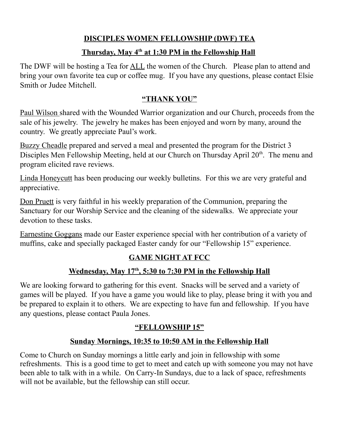# **DISCIPLES WOMEN FELLOWSHIP (DWF) TEA**

### **Thursday, May 4th at 1:30 PM in the Fellowship Hall**

The DWF will be hosting a Tea for <u>ALL</u> the women of the Church. Please plan to attend and bring your own favorite tea cup or coffee mug. If you have any questions, please contact Elsie Smith or Judee Mitchell.

## **"THANK YOU"**

Paul Wilson shared with the Wounded Warrior organization and our Church, proceeds from the sale of his jewelry. The jewelry he makes has been enjoyed and worn by many, around the country. We greatly appreciate Paul's work.

Buzzy Cheadle prepared and served a meal and presented the program for the District 3 Disciples Men Fellowship Meeting, held at our Church on Thursday April 20<sup>th</sup>. The menu and program elicited rave reviews.

Linda Honeycutt has been producing our weekly bulletins. For this we are very grateful and appreciative.

Don Pruett is very faithful in his weekly preparation of the Communion, preparing the Sanctuary for our Worship Service and the cleaning of the sidewalks. We appreciate your devotion to these tasks.

Earnestine Goggans made our Easter experience special with her contribution of a variety of muffins, cake and specially packaged Easter candy for our "Fellowship 15" experience.

# **GAME NIGHT AT FCC**

# **Wednesday, May 17<sup>th</sup>, 5:30 to 7:30 PM in the Fellowship Hall**

We are looking forward to gathering for this event. Snacks will be served and a variety of games will be played. If you have a game you would like to play, please bring it with you and be prepared to explain it to others. We are expecting to have fun and fellowship. If you have any questions, please contact Paula Jones.

# **"FELLOWSHIP 15"**

## **Sunday Mornings, 10:35 to 10:50 AM in the Fellowship Hall**

Come to Church on Sunday mornings a little early and join in fellowship with some refreshments. This is a good time to get to meet and catch up with someone you may not have been able to talk with in a while. On Carry-In Sundays, due to a lack of space, refreshments will not be available, but the fellowship can still occur.